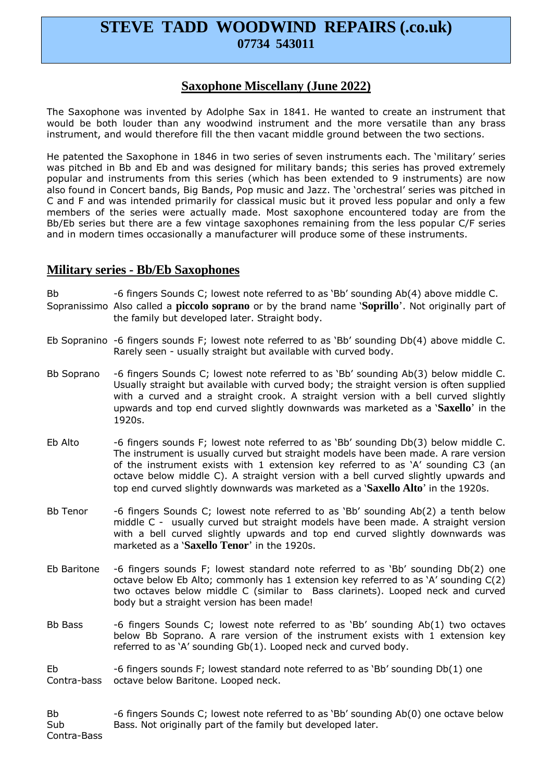# **STEVE TADD WOODWIND REPAIRS (.co.uk) 07734 543011**

### **Saxophone Miscellany (June 2022)**

The Saxophone was invented by Adolphe Sax in 1841. He wanted to create an instrument that would be both louder than any woodwind instrument and the more versatile than any brass instrument, and would therefore fill the then vacant middle ground between the two sections.

He patented the Saxophone in 1846 in two series of seven instruments each. The 'military' series was pitched in Bb and Eb and was designed for military bands; this series has proved extremely popular and instruments from this series (which has been extended to 9 instruments) are now also found in Concert bands, Big Bands, Pop music and Jazz. The 'orchestral' series was pitched in C and F and was intended primarily for classical music but it proved less popular and only a few members of the series were actually made. Most saxophone encountered today are from the Bb/Eb series but there are a few vintage saxophones remaining from the less popular C/F series and in modern times occasionally a manufacturer will produce some of these instruments.

#### **Military series - Bb/Eb Saxophones**

Bb -6 fingers Sounds C; lowest note referred to as 'Bb' sounding Ab(4) above middle C. Sopranissimo Also called a **piccolo soprano** or by the brand name '**Soprillo**'. Not originally part of the family but developed later. Straight body.

- Eb Sopranino -6 fingers sounds F; lowest note referred to as 'Bb' sounding Db(4) above middle C. Rarely seen - usually straight but available with curved body.
- Bb Soprano -6 fingers Sounds C; lowest note referred to as 'Bb' sounding Ab(3) below middle C. Usually straight but available with curved body; the straight version is often supplied with a curved and a straight crook. A straight version with a bell curved slightly upwards and top end curved slightly downwards was marketed as a '**Saxello**' in the 1920s.
- Eb Alto -6 fingers sounds F; lowest note referred to as 'Bb' sounding Db(3) below middle C. The instrument is usually curved but straight models have been made. A rare version of the instrument exists with 1 extension key referred to as 'A' sounding C3 (an octave below middle C). A straight version with a bell curved slightly upwards and top end curved slightly downwards was marketed as a '**Saxello Alto**' in the 1920s.
- Bb Tenor -6 fingers Sounds C; lowest note referred to as 'Bb' sounding Ab(2) a tenth below middle C - usually curved but straight models have been made. A straight version with a bell curved slightly upwards and top end curved slightly downwards was marketed as a '**Saxello Tenor**' in the 1920s.
- Eb Baritone -6 fingers sounds F; lowest standard note referred to as 'Bb' sounding Db(2) one octave below Eb Alto; commonly has 1 extension key referred to as 'A' sounding C(2) two octaves below middle C (similar to Bass clarinets). Looped neck and curved body but a straight version has been made!
- Bb Bass  $-6$  fingers Sounds C; lowest note referred to as 'Bb' sounding Ab(1) two octaves below Bb Soprano. A rare version of the instrument exists with 1 extension key referred to as 'A' sounding Gb(1). Looped neck and curved body.

Eb  $-6$  fingers sounds F; lowest standard note referred to as 'Bb' sounding Db(1) one Contra-bass octave below Baritone. Looped neck.

Bb -6 fingers Sounds C; lowest note referred to as 'Bb' sounding Ab(0) one octave below Sub Bass. Not originally part of the family but developed later. Contra-Bass